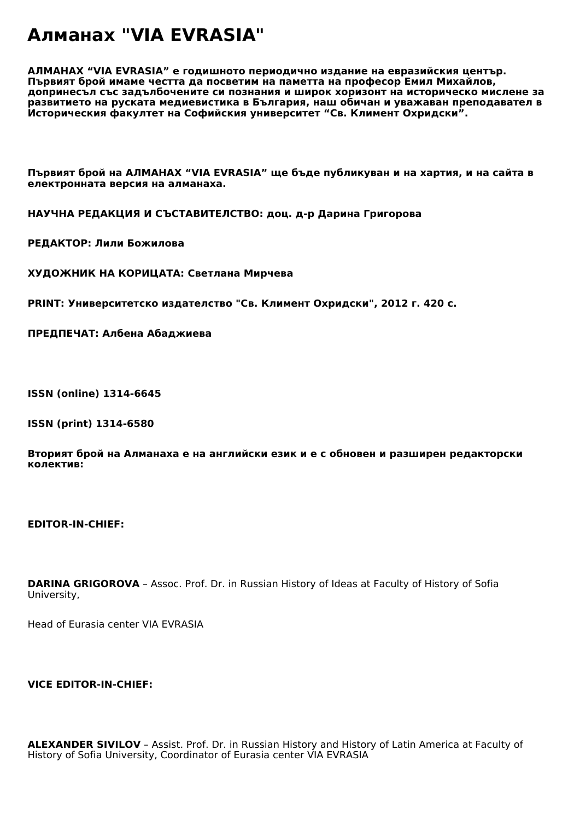## **Алманах "VIA EVRASIA"**

**АЛМАНАХ "VIA EVRASIA" е годишното периодично издание на евразийския център. Първият брой имаме честта да посветим на паметта на професор Емил Михайлов, допринесъл със задълбочените си познания и широк хоризонт на историческо мислене за развитието на руската медиевистика в България, наш обичан и уважаван преподавател в Историческия факултет на Софийския университет "Св. Климент Охридски".**

**Първият брой на АЛМАНАХ "VIA EVRASIA" ще бъде публикуван и на хартия, и на сайта в електронната версия на алманаха.**

**НАУЧНА РЕДАКЦИЯ И СЪСТАВИТЕЛСТВО: доц. д-р Дарина Григорова**

**РЕДАКТОР: Лили Божилова**

**ХУДОЖНИК НА КОРИЦАТА: Светлана Мирчева**

**PRINT: Университетско издателство "Св. Климент Охридски", 2012 г. 420 с.** 

**ПРЕДПЕЧАТ: Албена Абаджиева**

**ISSN (online) 1314-6645**

**ISSN (print) 1314-6580**

**Вторият брой на Алманаха е на английски език и е с обновен и разширен редакторски колектив:**

**EDITOR-IN-CHIEF:**

**DARINA GRIGOROVA** *– Assoc. Prof. Dr. in Russian History of Ideas at Faculty of History of Sofia University,* 

*Head of Eurasia center VIA EVRASIA*

## **VICE EDITOR-IN-CHIEF:**